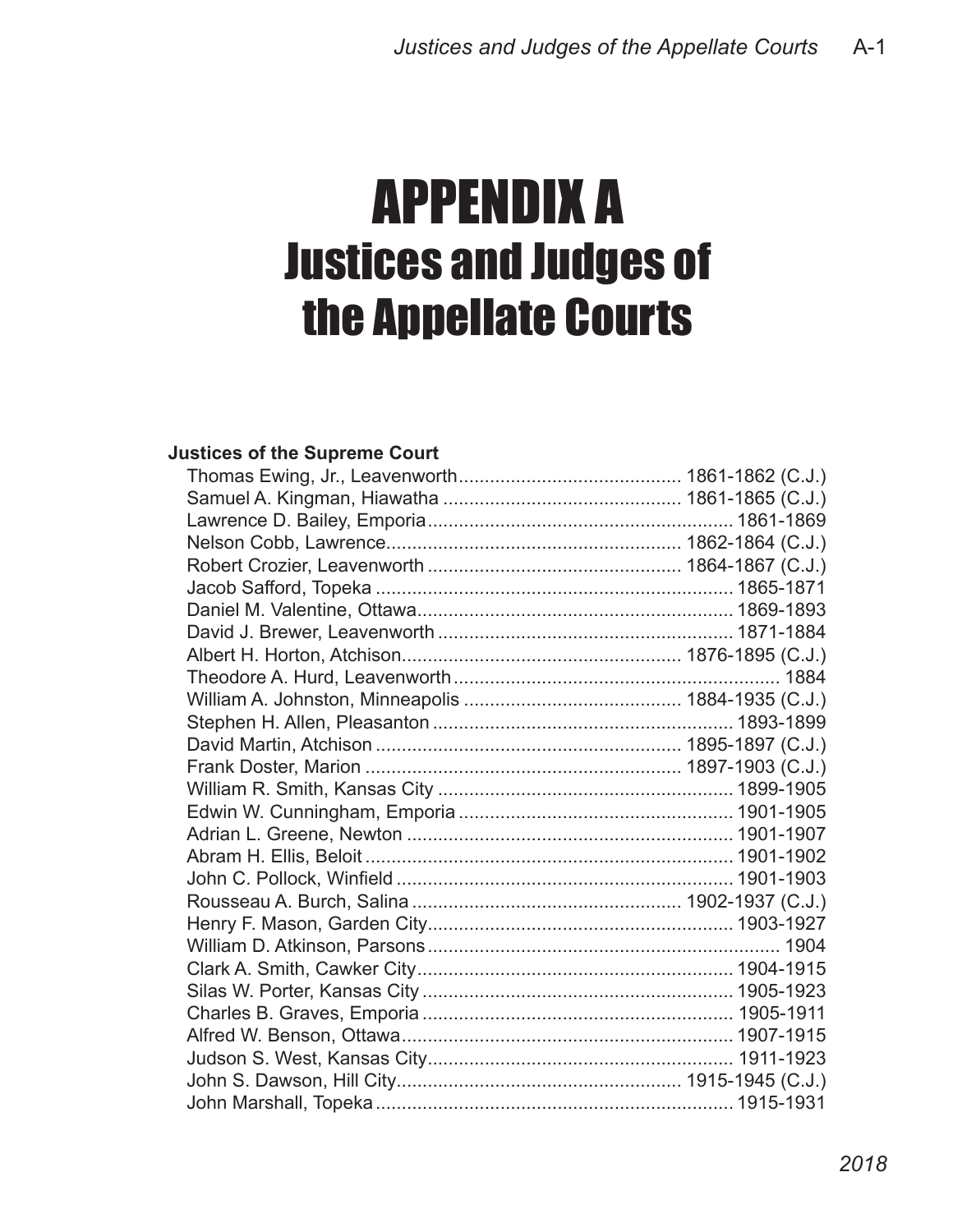# APPENDIX A Justices and Judges of the Appellate Courts

### **Justices of the Supreme Court**